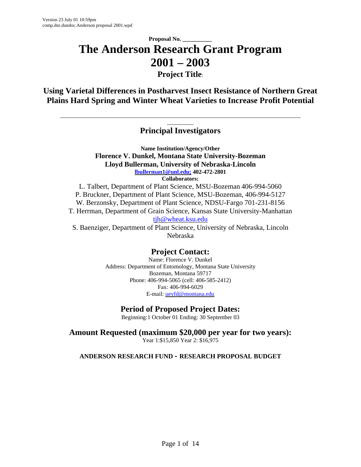## **Proposal No. \_\_\_\_\_\_\_\_\_\_ The Anderson Research Grant Program 2001 – 2003 Project Title**:

**Using Varietal Differences in Postharvest Insect Resistance of Northern Great Plains Hard Spring and Winter Wheat Varieties to Increase Profit Potential**

## \_\_\_\_\_\_\_\_\_ **Principal Investigators**

\_\_\_\_\_\_\_\_\_\_\_\_\_\_\_\_\_\_\_\_\_\_\_\_\_\_\_\_\_\_\_\_\_\_\_\_\_\_\_\_\_\_\_\_\_\_\_\_\_\_\_\_\_\_\_\_\_\_\_\_\_\_\_\_\_\_\_\_\_\_\_\_\_\_\_\_\_\_\_\_\_\_

**Name Institution/Agency/Other Florence V. Dunkel, Montana State University-Bozeman Lloyd Bullerman, University of Nebraska-Lincoln lbullerman1@unl.edu; 402-472-2801 Collaborators:**

L. Talbert, Department of Plant Science, MSU-Bozeman 406-994-5060 P. Bruckner, Department of Plant Science, MSU-Bozeman, 406-994-5127 W. Berzonsky, Department of Plant Science, NDSU-Fargo 701-231-8156 T. Herrman, Department of Grain Science, Kansas State University-Manhattan tjh@wheat.ksu.edu

S. Baenziger, Department of Plant Science, University of Nebraska, Lincoln Nebraska

## **Project Contact:**

Name: Florence V. Dunkel Address: Department of Entomology, Montana State University Bozeman, Montana 59717 Phone: 406-994-5065 (cell: 406-585-2412) Fax: 406-994-6029 E-mail: ueyfd@montana.edu

## **Period of Proposed Project Dates:**

Beginning:1 October 01 Ending: 30 September 03

**Amount Requested (maximum \$20,000 per year for two years):** Year 1:\$15,850 Year 2: \$16,975

**ANDERSON RESEARCH FUND - RESEARCH PROPOSAL BUDGET**